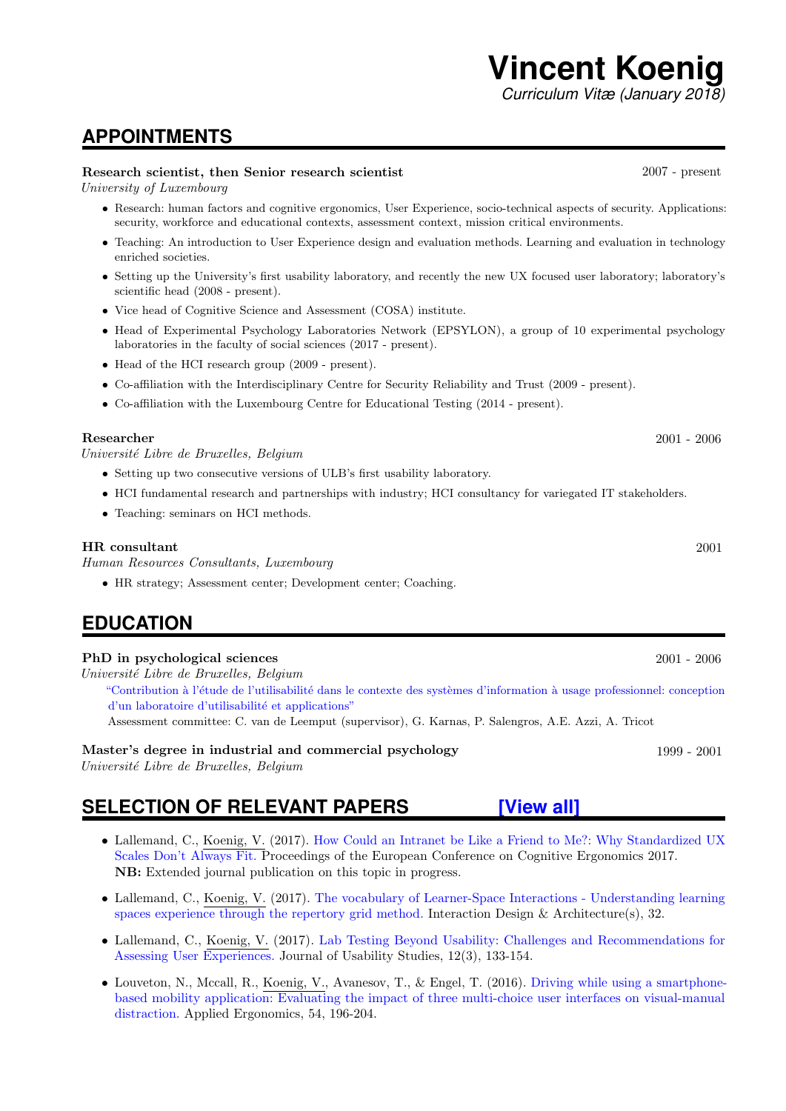## **APPOINTMENTS**

### Research scientist, then Senior research scientist 2007 - present

University of Luxembourg

- Research: human factors and cognitive ergonomics, User Experience, socio-technical aspects of security. Applications: security, workforce and educational contexts, assessment context, mission critical environments.
- Teaching: An introduction to User Experience design and evaluation methods. Learning and evaluation in technology enriched societies.
- Setting up the University's first usability laboratory, and recently the new UX focused user laboratory; laboratory's scientific head (2008 - present).
- Vice head of Cognitive Science and Assessment (COSA) institute.
- Head of Experimental Psychology Laboratories Network (EPSYLON), a group of 10 experimental psychology laboratories in the faculty of social sciences (2017 - present).
- Head of the HCI research group (2009 present).
- Co-affiliation with the Interdisciplinary Centre for Security Reliability and Trust (2009 present).
- Co-affiliation with the Luxembourg Centre for Educational Testing (2014 present).

Université Libre de Bruxelles, Belgium

- Setting up two consecutive versions of ULB's first usability laboratory.
- HCI fundamental research and partnerships with industry; HCI consultancy for variegated IT stakeholders.
- Teaching: seminars on HCI methods.

#### HR consultant 2001

Human Resources Consultants, Luxembourg

• HR strategy; Assessment center; Development center; Coaching.

## **EDUCATION**

#### PhD in psychological sciences 2001 - 2006

Université Libre de Bruxelles, Belgium

"Contribution à l'étude de l'utilisabilité dans le contexte des systèmes d'information à usage professionnel: conception d'un laboratoire d'utilisabilité et applications"

Assessment committee: C. van de Leemput (supervisor), G. Karnas, P. Salengros, A.E. Azzi, A. Tricot

### Master's degree in industrial and commercial psychology 1999 - 2001

Université Libre de Bruxelles, Belgium

## **SELECTION OF RELEVANT PAPERS [\[View all\]](http://orbilu.uni.lu/simple-search?query=((uid:50002114)))**

- Lallemand, C., Koenig, V. (2017). [How Could an Intranet be Like a Friend to Me?: Why Standardized UX](http://hdl.handle.net/10993/32791) [Scales Don't Always Fit.](http://hdl.handle.net/10993/32791) Proceedings of the European Conference on Cognitive Ergonomics 2017. NB: Extended journal publication on this topic in progress.
- Lallemand, C., Koenig, V. (2017). [The vocabulary of Learner-Space Interactions Understanding learning](http://hdl.handle.net/10993/31830) [spaces experience through the repertory grid method.](http://hdl.handle.net/10993/31830) Interaction Design & Architecture(s), 32.
- Lallemand, C., Koenig, V. (2017). [Lab Testing Beyond Usability: Challenges and Recommendations for](http://hdl.handle.net/10993/31420) [Assessing User Experiences.](http://hdl.handle.net/10993/31420) Journal of Usability Studies, 12(3), 133-154.
- Louveton, N., Mccall, R., Koenig, V., Avanesov, T., & Engel, T. (2016). [Driving while using a smartphone](http://hdl.handle.net/10993/24740)[based mobility application: Evaluating the impact of three multi-choice user interfaces on visual-manual](http://hdl.handle.net/10993/24740) [distraction.](http://hdl.handle.net/10993/24740) Applied Ergonomics, 54, 196-204.

Researcher 2001 - 2006 2001 - 2006 2001 - 2006 2001 - 2006 2001 - 2006 2001 - 2006 2001 - 2006 2001 - 2006 20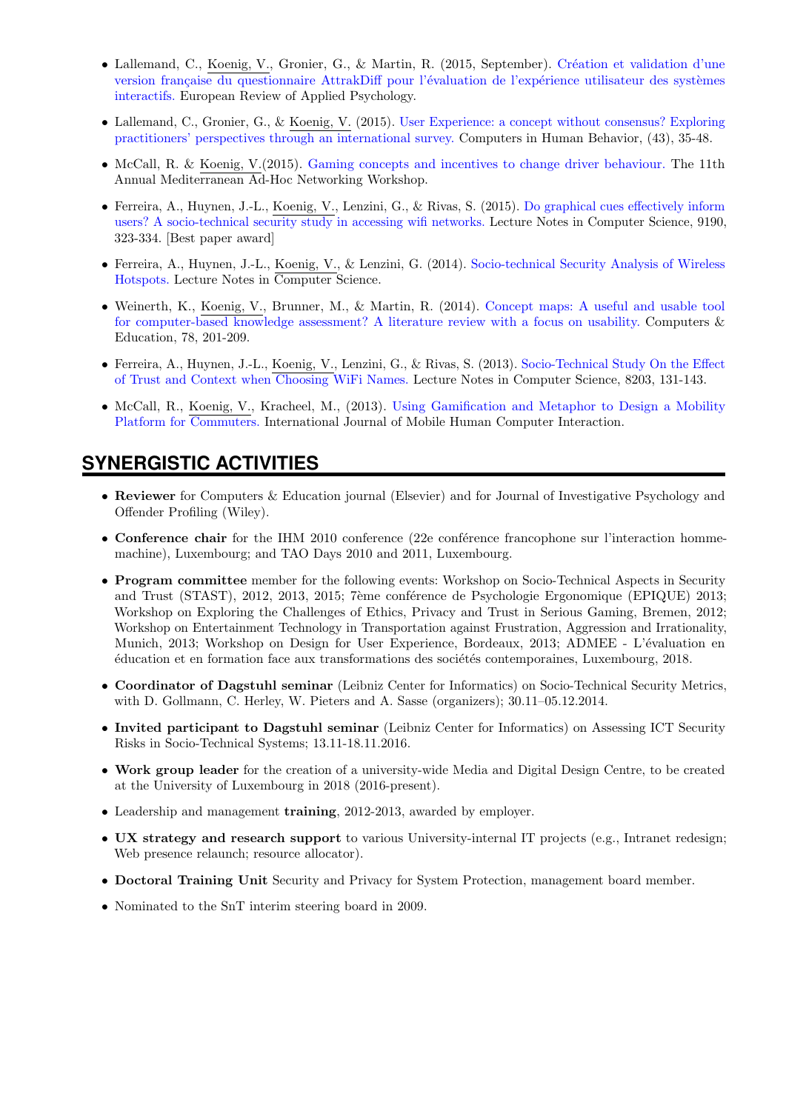- Lallemand, C., Koenig, V., Gronier, G., & Martin, R. (2015, September). Création et validation d'une version française du questionnaire AttrakDiff pour l'évaluation de l'expérience utilisateur des systèmes [interactifs.](http://hdl.handle.net/10993/22028) European Review of Applied Psychology.
- Lallemand, C., Gronier, G., & Koenig, V. (2015). [User Experience: a concept without consensus? Exploring](http://hdl.handle.net/10993/18882) [practitioners' perspectives through an international survey.](http://hdl.handle.net/10993/18882) Computers in Human Behavior, (43), 35-48.
- McCall, R. & Koenig, V.(2015). [Gaming concepts and incentives to change driver behaviour.](http://hdl.handle.net/10993/6765) The 11th Annual Mediterranean Ad-Hoc Networking Workshop.
- Ferreira, A., Huynen, J.-L., Koenig, V., Lenzini, G., & Rivas, S. (2015). [Do graphical cues effectively inform](http://hdl.handle.net/10993/20782) [users? A socio-technical security study in accessing wifi networks.](http://hdl.handle.net/10993/20782) Lecture Notes in Computer Science, 9190, 323-334. [Best paper award]
- Ferreira, A., Huynen, J.-L., Koenig, V., & Lenzini, G. (2014). [Socio-technical Security Analysis of Wireless](http://hdl.handle.net/10993/15754) [Hotspots.](http://hdl.handle.net/10993/15754) Lecture Notes in Computer Science.
- Weinerth, K., Koenig, V., Brunner, M., & Martin, R. (2014). [Concept maps: A useful and usable tool](http://hdl.handle.net/10993/17201) [for computer-based knowledge assessment? A literature review with a focus on usability.](http://hdl.handle.net/10993/17201) Computers & Education, 78, 201-209.
- Ferreira, A., Huynen, J.-L., Koenig, V., Lenzini, G., & Rivas, S. (2013). [Socio-Technical Study On the Effect](http://hdl.handle.net/10993/12569) [of Trust and Context when Choosing WiFi Names.](http://hdl.handle.net/10993/12569) Lecture Notes in Computer Science, 8203, 131-143.
- McCall, R., Koenig, V., Kracheel, M., (2013). [Using Gamification and Metaphor to Design a Mobility](http://http://hdl.handle.net/10993/8064) [Platform for Commuters.](http://http://hdl.handle.net/10993/8064) International Journal of Mobile Human Computer Interaction.

## **SYNERGISTIC ACTIVITIES**

- Reviewer for Computers & Education journal (Elsevier) and for Journal of Investigative Psychology and Offender Profiling (Wiley).
- Conference chair for the IHM 2010 conference (22e conférence francophone sur l'interaction hommemachine), Luxembourg; and TAO Days 2010 and 2011, Luxembourg.
- Program committee member for the following events: Workshop on Socio-Technical Aspects in Security and Trust (STAST), 2012, 2013, 2015; 7ème conférence de Psychologie Ergonomique (EPIQUE) 2013; Workshop on Exploring the Challenges of Ethics, Privacy and Trust in Serious Gaming, Bremen, 2012; Workshop on Entertainment Technology in Transportation against Frustration, Aggression and Irrationality, Munich, 2013; Workshop on Design for User Experience, Bordeaux, 2013; ADMEE - L'évaluation en  $\acute{e}$ ducation et en formation face aux transformations des sociétés contemporaines, Luxembourg, 2018.
- Coordinator of Dagstuhl seminar (Leibniz Center for Informatics) on Socio-Technical Security Metrics, with D. Gollmann, C. Herley, W. Pieters and A. Sasse (organizers); 30.11–05.12.2014.
- Invited participant to Dagstuhl seminar (Leibniz Center for Informatics) on Assessing ICT Security Risks in Socio-Technical Systems; 13.11-18.11.2016.
- Work group leader for the creation of a university-wide Media and Digital Design Centre, to be created at the University of Luxembourg in 2018 (2016-present).
- Leadership and management training, 2012-2013, awarded by employer.
- UX strategy and research support to various University-internal IT projects (e.g., Intranet redesign; Web presence relaunch; resource allocator).
- Doctoral Training Unit Security and Privacy for System Protection, management board member.
- Nominated to the SnT interim steering board in 2009.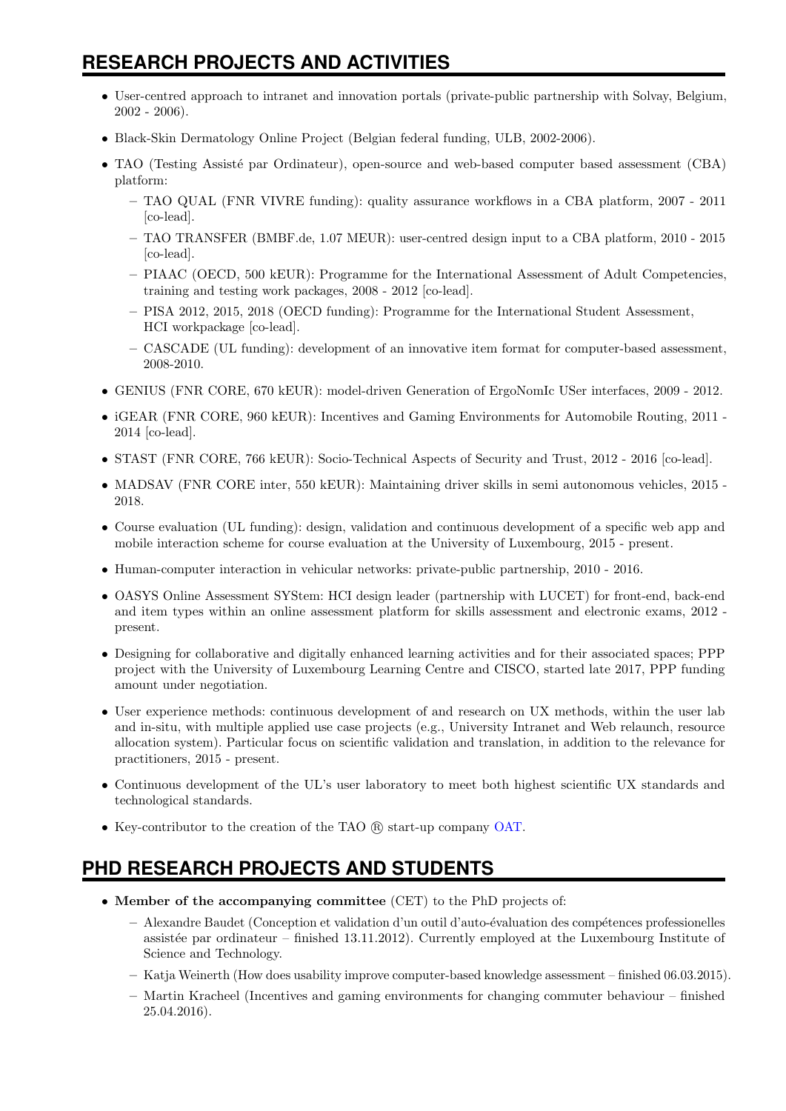# **RESEARCH PROJECTS AND ACTIVITIES**

- User-centred approach to intranet and innovation portals (private-public partnership with Solvay, Belgium, 2002 - 2006).
- Black-Skin Dermatology Online Project (Belgian federal funding, ULB, 2002-2006).
- TAO (Testing Assisté par Ordinateur), open-source and web-based computer based assessment (CBA) platform:
	- TAO QUAL (FNR VIVRE funding): quality assurance workflows in a CBA platform, 2007 2011 [co-lead].
	- TAO TRANSFER (BMBF.de, 1.07 MEUR): user-centred design input to a CBA platform, 2010 2015 [co-lead].
	- PIAAC (OECD, 500 kEUR): Programme for the International Assessment of Adult Competencies, training and testing work packages, 2008 - 2012 [co-lead].
	- PISA 2012, 2015, 2018 (OECD funding): Programme for the International Student Assessment, HCI workpackage [co-lead].
	- CASCADE (UL funding): development of an innovative item format for computer-based assessment, 2008-2010.
- GENIUS (FNR CORE, 670 kEUR): model-driven Generation of ErgoNomIc USer interfaces, 2009 2012.
- iGEAR (FNR CORE, 960 kEUR): Incentives and Gaming Environments for Automobile Routing, 2011 2014 [co-lead].
- STAST (FNR CORE, 766 kEUR): Socio-Technical Aspects of Security and Trust, 2012 2016 [co-lead].
- MADSAV (FNR CORE inter, 550 kEUR): Maintaining driver skills in semi autonomous vehicles, 2015 2018.
- Course evaluation (UL funding): design, validation and continuous development of a specific web app and mobile interaction scheme for course evaluation at the University of Luxembourg, 2015 - present.
- Human-computer interaction in vehicular networks: private-public partnership, 2010 2016.
- OASYS Online Assessment SYStem: HCI design leader (partnership with LUCET) for front-end, back-end and item types within an online assessment platform for skills assessment and electronic exams, 2012 present.
- Designing for collaborative and digitally enhanced learning activities and for their associated spaces; PPP project with the University of Luxembourg Learning Centre and CISCO, started late 2017, PPP funding amount under negotiation.
- User experience methods: continuous development of and research on UX methods, within the user lab and in-situ, with multiple applied use case projects (e.g., University Intranet and Web relaunch, resource allocation system). Particular focus on scientific validation and translation, in addition to the relevance for practitioners, 2015 - present.
- Continuous development of the UL's user laboratory to meet both highest scientific UX standards and technological standards.
- Key-contributor to the creation of the TAO ® start-up company [OAT.](http://www.taotesting.com/)

## **PHD RESEARCH PROJECTS AND STUDENTS**

- Member of the accompanying committee (CET) to the PhD projects of:
	- Alexandre Baudet (Conception et validation d'un outil d'auto-´evaluation des comp´etences professionelles assistée par ordinateur – finished 13.11.2012). Currently employed at the Luxembourg Institute of Science and Technology.
	- Katja Weinerth (How does usability improve computer-based knowledge assessment finished 06.03.2015).
	- Martin Kracheel (Incentives and gaming environments for changing commuter behaviour finished 25.04.2016).